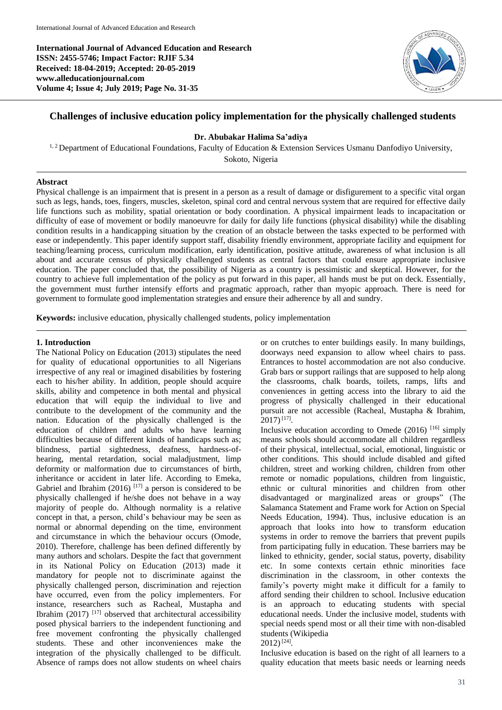**International Journal of Advanced Education and Research ISSN: 2455-5746; Impact Factor: RJIF 5.34 Received: 18-04-2019; Accepted: 20-05-2019 www.alleducationjournal.com Volume 4; Issue 4; July 2019; Page No. 31-35**



# **Challenges of inclusive education policy implementation for the physically challenged students**

#### **Dr. Abubakar Halima Sa'adiya**

<sup>1, 2</sup> Department of Educational Foundations, Faculty of Education & Extension Services Usmanu Danfodiyo University, Sokoto, Nigeria

### **Abstract**

Physical challenge is an impairment that is present in a person as a result of damage or disfigurement to a specific vital organ such as legs, hands, toes, fingers, muscles, skeleton, spinal cord and central nervous system that are required for effective daily life functions such as mobility, spatial orientation or body coordination. A physical impairment leads to incapacitation or difficulty of ease of movement or bodily manoeuvre for daily for daily life functions (physical disability) while the disabling condition results in a handicapping situation by the creation of an obstacle between the tasks expected to be performed with ease or independently. This paper identify support staff, disability friendly environment, appropriate facility and equipment for teaching/learning process, curriculum modification, early identification, positive attitude, awareness of what inclusion is all about and accurate census of physically challenged students as central factors that could ensure appropriate inclusive education. The paper concluded that, the possibility of Nigeria as a country is pessimistic and skeptical. However, for the country to achieve full implementation of the policy as put forward in this paper, all hands must be put on deck. Essentially, the government must further intensify efforts and pragmatic approach, rather than myopic approach. There is need for government to formulate good implementation strategies and ensure their adherence by all and sundry.

**Keywords:** inclusive education, physically challenged students, policy implementation

#### **1. Introduction**

The National Policy on Education (2013) stipulates the need for quality of educational opportunities to all Nigerians irrespective of any real or imagined disabilities by fostering each to his/her ability. In addition, people should acquire skills, ability and competence in both mental and physical education that will equip the individual to live and contribute to the development of the community and the nation. Education of the physically challenged is the education of children and adults who have learning difficulties because of different kinds of handicaps such as; blindness, partial sightedness, deafness, hardness-ofhearing, mental retardation, social maladiustment, limp deformity or malformation due to circumstances of birth, inheritance or accident in later life. According to Emeka, Gabriel and Ibrahim  $(2016)$ <sup>[17]</sup> a person is considered to be physically challenged if he/she does not behave in a way majority of people do. Although normality is a relative concept in that, a person, child's behaviour may be seen as normal or abnormal depending on the time, environment and circumstance in which the behaviour occurs (Omode, 2010). Therefore, challenge has been defined differently by many authors and scholars. Despite the fact that government in its National Policy on Education (2013) made it mandatory for people not to discriminate against the physically challenged person, discrimination and rejection have occurred, even from the policy implementers. For instance, researchers such as Racheal, Mustapha and Ibrahim  $(2017)$ <sup>[17]</sup> observed that architectural accessibility posed physical barriers to the independent functioning and free movement confronting the physically challenged students. These and other inconveniences make the integration of the physically challenged to be difficult. Absence of ramps does not allow students on wheel chairs

or on crutches to enter buildings easily. In many buildings, doorways need expansion to allow wheel chairs to pass. Entrances to hostel accommodation are not also conducive. Grab bars or support railings that are supposed to help along the classrooms, chalk boards, toilets, ramps, lifts and conveniences in getting access into the library to aid the progress of physically challenged in their educational pursuit are not accessible (Racheal, Mustapha & Ibrahim,  $2017$ <sup>[17]</sup>.

Inclusive education according to Omede (2016) [16] simply means schools should accommodate all children regardless of their physical, intellectual, social, emotional, linguistic or other conditions. This should include disabled and gifted children, street and working children, children from other remote or nomadic populations, children from linguistic, ethnic or cultural minorities and children from other disadvantaged or marginalized areas or groups" (The Salamanca Statement and Frame work for Action on Special Needs Education, 1994). Thus, inclusive education is an approach that looks into how to transform education systems in order to remove the barriers that prevent pupils from participating fully in education. These barriers may be linked to ethnicity, gender, social status, poverty, disability etc. In some contexts certain ethnic minorities face discrimination in the classroom, in other contexts the family's poverty might make it difficult for a family to afford sending their children to school. Inclusive education is an approach to educating students with special educational needs. Under the inclusive model, students with special needs spend most or all their time with non-disabled students (Wikipedia

 $2012$ )<sup>[24]</sup>.

Inclusive education is based on the right of all learners to a quality education that meets basic needs or learning needs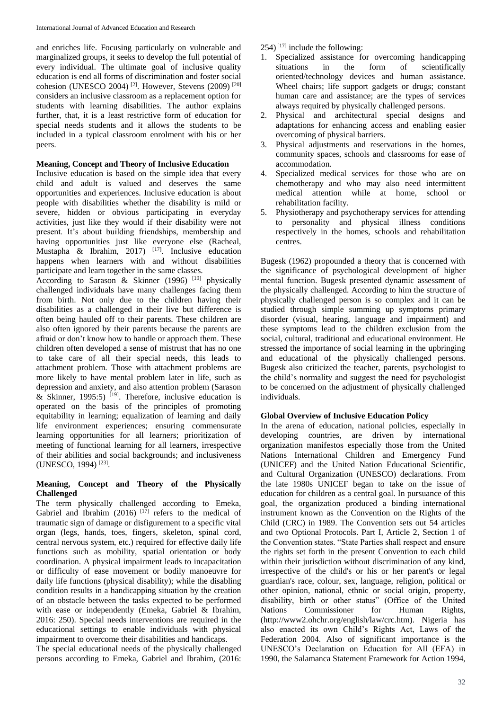and enriches life. Focusing particularly on vulnerable and marginalized groups, it seeks to develop the full potential of every individual. The ultimate goal of inclusive quality education is end all forms of discrimination and foster social cohesion (UNESCO 2004)<sup>[2]</sup>. However, Stevens (2009)<sup>[20]</sup> considers an inclusive classroom as a replacement option for students with learning disabilities. The author explains further, that, it is a least restrictive form of education for special needs students and it allows the students to be included in a typical classroom enrolment with his or her peers.

## **Meaning, Concept and Theory of Inclusive Education**

Inclusive education is based on the simple idea that every child and adult is valued and deserves the same opportunities and experiences. Inclusive education is about people with disabilities whether the disability is mild or severe, hidden or obvious participating in everyday activities, just like they would if their disability were not present. It's about building friendships, membership and having opportunities just like everyone else (Racheal, Mustapha & Ibrahim,  $2017$ )  $^{[17]}$ . Inclusive education happens when learners with and without disabilities participate and learn together in the same classes.

According to Sarason & Skinner (1996)  $^{[19]}$  physically challenged individuals have many challenges facing them from birth. Not only due to the children having their disabilities as a challenged in their live but difference is often being hauled off to their parents. These children are also often ignored by their parents because the parents are afraid or don't know how to handle or approach them. These children often developed a sense of mistrust that has no one to take care of all their special needs, this leads to attachment problem. Those with attachment problems are more likely to have mental problem later in life, such as depression and anxiety, and also attention problem (Sarason & Skinner, 1995:5)  $[19]$ . Therefore, inclusive education is operated on the basis of the principles of promoting equitability in learning; equalization of learning and daily life environment experiences; ensuring commensurate learning opportunities for all learners; prioritization of meeting of functional learning for all learners, irrespective of their abilities and social backgrounds; and inclusiveness (UNESCO, 1994)<sup>[23]</sup>.

### **Meaning, Concept and Theory of the Physically Challenged**

The term physically challenged according to Emeka, Gabriel and Ibrahim (2016)  $[17]$  refers to the medical of traumatic sign of damage or disfigurement to a specific vital organ (legs, hands, toes, fingers, skeleton, spinal cord, central nervous system, etc.) required for effective daily life functions such as mobility, spatial orientation or body coordination. A physical impairment leads to incapacitation or difficulty of ease movement or bodily manoeuvre for daily life functions (physical disability); while the disabling condition results in a handicapping situation by the creation of an obstacle between the tasks expected to be performed with ease or independently (Emeka, Gabriel & Ibrahim, 2016: 250). Special needs interventions are required in the educational settings to enable individuals with physical impairment to overcome their disabilities and handicaps.

The special educational needs of the physically challenged persons according to Emeka, Gabriel and Ibrahim, (2016:

 $254$ <sup>[17]</sup> include the following:

- 1. Specialized assistance for overcoming handicapping situations in the form of scientifically oriented/technology devices and human assistance. Wheel chairs; life support gadgets or drugs; constant human care and assistance; are the types of services always required by physically challenged persons.
- 2. Physical and architectural special designs and adaptations for enhancing access and enabling easier overcoming of physical barriers.
- 3. Physical adjustments and reservations in the homes, community spaces, schools and classrooms for ease of accommodation.
- 4. Specialized medical services for those who are on chemotherapy and who may also need intermittent medical attention while at home, school or rehabilitation facility.
- 5. Physiotherapy and psychotherapy services for attending to personality and physical illness conditions respectively in the homes, schools and rehabilitation centres.

Bugesk (1962) propounded a theory that is concerned with the significance of psychological development of higher mental function. Bugesk presented dynamic assessment of the physically challenged. According to him the structure of physically challenged person is so complex and it can be studied through simple summing up symptoms primary disorder (visual, hearing, language and impairment) and these symptoms lead to the children exclusion from the social, cultural, traditional and educational environment. He stressed the importance of social learning in the upbringing and educational of the physically challenged persons. Bugesk also criticized the teacher, parents, psychologist to the child's normality and suggest the need for psychologist to be concerned on the adjustment of physically challenged individuals.

## **Global Overview of Inclusive Education Policy**

In the arena of education, national policies, especially in developing countries, are driven by international organization manifestos especially those from the United Nations International Children and Emergency Fund (UNICEF) and the United Nation Educational Scientific, and Cultural Organization (UNESCO) declarations. From the late 1980s UNICEF began to take on the issue of education for children as a central goal. In pursuance of this goal, the organization produced a binding international instrument known as the Convention on the Rights of the Child (CRC) in 1989. The Convention sets out 54 articles and two Optional Protocols. Part I, Article 2, Section 1 of the Convention states. "State Parties shall respect and ensure the rights set forth in the present Convention to each child within their jurisdiction without discrimination of any kind, irrespective of the child's or his or her parent's or legal guardian's race, colour, sex, language, religion, political or other opinion, national, ethnic or social origin, property, disability, birth or other status" (Office of the United Nations Commissioner for Human Rights, (http://www2.ohchr.org/english/law/crc.htm). Nigeria has also enacted its own Child's Rights Act, Laws of the Federation 2004. Also of significant importance is the UNESCO's Declaration on Education for All (EFA) in 1990, the Salamanca Statement Framework for Action 1994,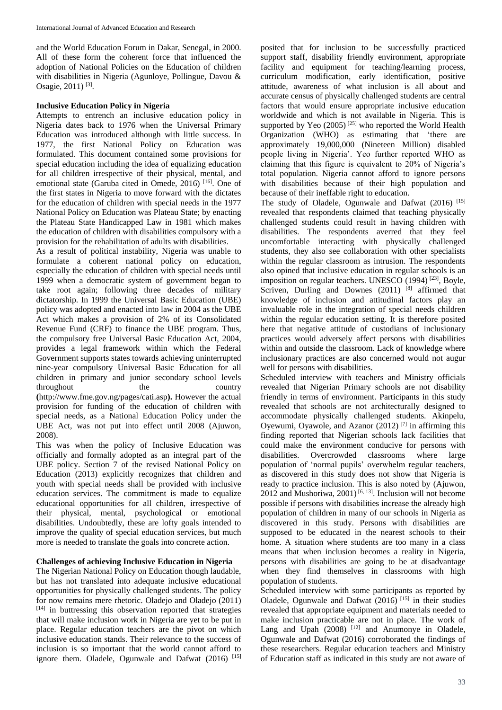and the World Education Forum in Dakar, Senegal, in 2000. All of these form the coherent force that influenced the adoption of National Policies on the Education of children with disabilities in Nigeria (Agunloye, Pollingue, Davou & Osagie, 2011)<sup>[3]</sup>.

## **Inclusive Education Policy in Nigeria**

Attempts to entrench an inclusive education policy in Nigeria dates back to 1976 when the Universal Primary Education was introduced although with little success. In 1977, the first National Policy on Education was formulated. This document contained some provisions for special education including the idea of equalizing education for all children irrespective of their physical, mental, and emotional state (Garuba cited in Omede, 2016)<sup>[16]</sup>. One of the first states in Nigeria to move forward with the dictates for the education of children with special needs in the 1977 National Policy on Education was Plateau State; by enacting the Plateau State Handicapped Law in 1981 which makes the education of children with disabilities compulsory with a provision for the rehabilitation of adults with disabilities.

As a result of political instability, Nigeria was unable to formulate a coherent national policy on education, especially the education of children with special needs until 1999 when a democratic system of government began to take root again; following three decades of military dictatorship. In 1999 the Universal Basic Education (UBE) policy was adopted and enacted into law in 2004 as the UBE Act which makes a provision of 2% of its Consolidated Revenue Fund (CRF) to finance the UBE program. Thus, the compulsory free Universal Basic Education Act, 2004, provides a legal framework within which the Federal Government supports states towards achieving uninterrupted nine-year compulsory Universal Basic Education for all children in primary and junior secondary school levels throughout the country **(**http://www.fme.gov.ng/pages/cati.asp**).** However the actual provision for funding of the education of children with special needs, as a National Education Policy under the UBE Act, was not put into effect until 2008 (Ajuwon, 2008).

This was when the policy of Inclusive Education was officially and formally adopted as an integral part of the UBE policy. Section 7 of the revised National Policy on Education (2013) explicitly recognizes that children and youth with special needs shall be provided with inclusive education services. The commitment is made to equalize educational opportunities for all children, irrespective of their physical, mental, psychological or emotional disabilities. Undoubtedly, these are lofty goals intended to improve the quality of special education services, but much more is needed to translate the goals into concrete action.

### **Challenges of achieving Inclusive Education in Nigeria**

The Nigerian National Policy on Education though laudable, but has not translated into adequate inclusive educational opportunities for physically challenged students. The policy for now remains mere rhetoric. Oladejo and Oladejo (2011) [14] in buttressing this observation reported that strategies that will make inclusion work in Nigeria are yet to be put in place. Regular education teachers are the pivot on which inclusive education stands. Their relevance to the success of inclusion is so important that the world cannot afford to ignore them. Oladele, Ogunwale and Dafwat (2016) [15]

posited that for inclusion to be successfully practiced support staff, disability friendly environment, appropriate facility and equipment for teaching/learning process, curriculum modification, early identification, positive attitude, awareness of what inclusion is all about and accurate census of physically challenged students are central factors that would ensure appropriate inclusive education worldwide and which is not available in Nigeria. This is supported by Yeo  $(2005)$ <sup>[25]</sup> who reported the World Health Organization (WHO) as estimating that 'there are approximately 19,000,000 (Nineteen Million) disabled people living in Nigeria'. Yeo further reported WHO as claiming that this figure is equivalent to 20% of Nigeria's total population. Nigeria cannot afford to ignore persons with disabilities because of their high population and because of their ineffable right to education.

The study of Oladele, Ogunwale and Dafwat (2016) [15] revealed that respondents claimed that teaching physically challenged students could result in having children with disabilities. The respondents averred that they feel uncomfortable interacting with physically challenged students, they also see collaboration with other specialists within the regular classroom as intrusion. The respondents also opined that inclusive education in regular schools is an imposition on regular teachers. UNESCO (1994)<sup>[23]</sup>, Boyle, Scriven, Durling and Downes (2011) [8] affirmed that knowledge of inclusion and attitudinal factors play an invaluable role in the integration of special needs children within the regular education setting. It is therefore posited here that negative attitude of custodians of inclusionary practices would adversely affect persons with disabilities within and outside the classroom. Lack of knowledge where inclusionary practices are also concerned would not augur well for persons with disabilities.

Scheduled interview with teachers and Ministry officials revealed that Nigerian Primary schools are not disability friendly in terms of environment. Participants in this study revealed that schools are not architecturally designed to accommodate physically challenged students. Akinpelu, Oyewumi, Oyawole, and Azanor  $(2012)$ <sup>[7]</sup> in affirming this finding reported that Nigerian schools lack facilities that could make the environment conducive for persons with disabilities. Overcrowded classrooms where large population of 'normal pupils' overwhelm regular teachers, as discovered in this study does not show that Nigeria is ready to practice inclusion. This is also noted by (Ajuwon, 2012 and Mushoriwa, 2001)<sup>[6, 13]</sup>. Inclusion will not become possible if persons with disabilities increase the already high population of children in many of our schools in Nigeria as discovered in this study. Persons with disabilities are supposed to be educated in the nearest schools to their home. A situation where students are too many in a class means that when inclusion becomes a reality in Nigeria, persons with disabilities are going to be at disadvantage when they find themselves in classrooms with high population of students.

Scheduled interview with some participants as reported by Oladele, Ogunwale and Dafwat (2016) [15] in their studies revealed that appropriate equipment and materials needed to make inclusion practicable are not in place. The work of Lang and Upah (2008) <sup>[12]</sup> and Anumonye in Oladele, Ogunwale and Dafwat (2016) corroborated the findings of these researchers. Regular education teachers and Ministry of Education staff as indicated in this study are not aware of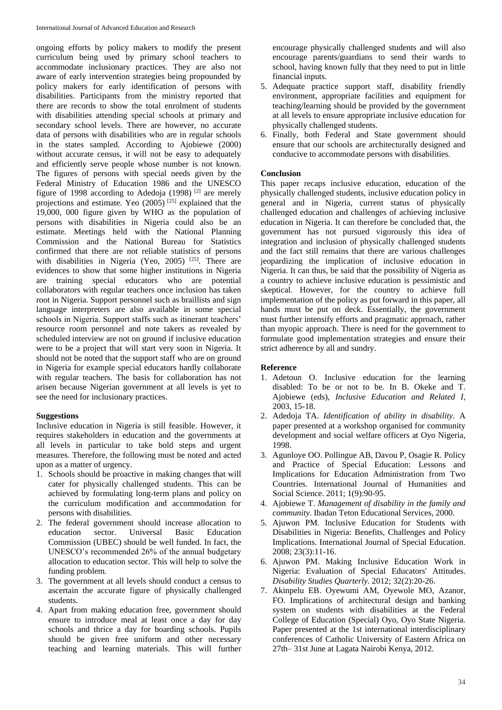ongoing efforts by policy makers to modify the present curriculum being used by primary school teachers to accommodate inclusionary practices. They are also not aware of early intervention strategies being propounded by policy makers for early identification of persons with disabilities. Participants from the ministry reported that there are records to show the total enrolment of students with disabilities attending special schools at primary and secondary school levels. There are however, no accurate data of persons with disabilities who are in regular schools in the states sampled. According to Ajobiewe (2000) without accurate census, it will not be easy to adequately and efficiently serve people whose number is not known. The figures of persons with special needs given by the Federal Ministry of Education 1986 and the UNESCO figure of 1998 according to Adedoja (1998)<sup>[2]</sup> are merely projections and estimate. Yeo  $(2005)$ <sup>[25]</sup> explained that the 19,000, 000 figure given by WHO as the population of persons with disabilities in Nigeria could also be an estimate. Meetings held with the National Planning Commission and the National Bureau for Statistics confirmed that there are not reliable statistics of persons with disabilities in Nigeria (Yeo, 2005)  $[25]$ . There are evidences to show that some higher institutions in Nigeria are training special educators who are potential collaborators with regular teachers once inclusion has taken root in Nigeria. Support personnel such as braillists and sign language interpreters are also available in some special schools in Nigeria. Support staffs such as itinerant teachers' resource room personnel and note takers as revealed by scheduled interview are not on ground if inclusive education were to be a project that will start very soon in Nigeria. It should not be noted that the support staff who are on ground in Nigeria for example special educators hardly collaborate with regular teachers. The basis for collaboration has not arisen because Nigerian government at all levels is yet to see the need for inclusionary practices.

### **Suggestions**

Inclusive education in Nigeria is still feasible. However, it requires stakeholders in education and the governments at all levels in particular to take bold steps and urgent measures. Therefore, the following must be noted and acted upon as a matter of urgency.

- 1. Schools should be proactive in making changes that will cater for physically challenged students. This can be achieved by formulating long-term plans and policy on the curriculum modification and accommodation for persons with disabilities.
- 2. The federal government should increase allocation to education sector. Universal Basic Education Commission (UBEC) should be well funded. In fact, the UNESCO's recommended 26% of the annual budgetary allocation to education sector. This will help to solve the funding problem.
- 3. The government at all levels should conduct a census to ascertain the accurate figure of physically challenged students.
- 4. Apart from making education free, government should ensure to introduce meal at least once a day for day schools and thrice a day for boarding schools. Pupils should be given free uniform and other necessary teaching and learning materials. This will further

encourage physically challenged students and will also encourage parents/guardians to send their wards to school, having known fully that they need to put in little financial inputs.

- 5. Adequate practice support staff, disability friendly environment, appropriate facilities and equipment for teaching/learning should be provided by the government at all levels to ensure appropriate inclusive education for physically challenged students.
- 6. Finally, both Federal and State government should ensure that our schools are architecturally designed and conducive to accommodate persons with disabilities.

### **Conclusion**

This paper recaps inclusive education, education of the physically challenged students, inclusive education policy in general and in Nigeria, current status of physically challenged education and challenges of achieving inclusive education in Nigeria. It can therefore be concluded that, the government has not pursued vigorously this idea of integration and inclusion of physically challenged students and the fact still remains that there are various challenges jeopardizing the implication of inclusive education in Nigeria. It can thus, be said that the possibility of Nigeria as a country to achieve inclusive education is pessimistic and skeptical. However, for the country to achieve full implementation of the policy as put forward in this paper, all hands must be put on deck. Essentially, the government must further intensify efforts and pragmatic approach, rather than myopic approach. There is need for the government to formulate good implementation strategies and ensure their strict adherence by all and sundry.

### **Reference**

- 1. Adetoun O. Inclusive education for the learning disabled: To be or not to be. In B. Okeke and T. Ajobiewe (eds), *Inclusive Education and Related I,* 2003, 15-18.
- 2. Adedoja TA. *Identification of ability in disability*. A paper presented at a workshop organised for community development and social welfare officers at Oyo Nigeria, 1998.
- 3. Agunloye OO. Pollingue AB, Davou P, Osagie R. Policy and Practice of Special Education: Lessons and Implications for Education Administration from Two Countries. International Journal of Humanities and Social Science. 2011; 1(9):90-95.
- 4. Ajobiewe T. *Management of disability in the family and community*. Ibadan Teton Educational Services, 2000.
- 5. Ajuwon PM. Inclusive Education for Students with Disabilities in Nigeria: Benefits, Challenges and Policy Implications. International Journal of Special Education. 2008; 23(3):11-16.
- 6. Ajuwon PM. Making Inclusive Education Work in Nigeria: Evaluation of Special Educators' Attitudes. *Disability Studies Quarterly.* 2012; 32(2):20-26.
- 7. Akinpelu EB. Oyewumi AM, Oyewole MO, Azanor, FO. Implications of architectural design and banking system on students with disabilities at the Federal College of Education (Special) Oyo, Oyo State Nigeria. Paper presented at the 1st international interdisciplinary conferences of Catholic University of Eastern Africa on 27th– 31st June at Lagata Nairobi Kenya, 2012.